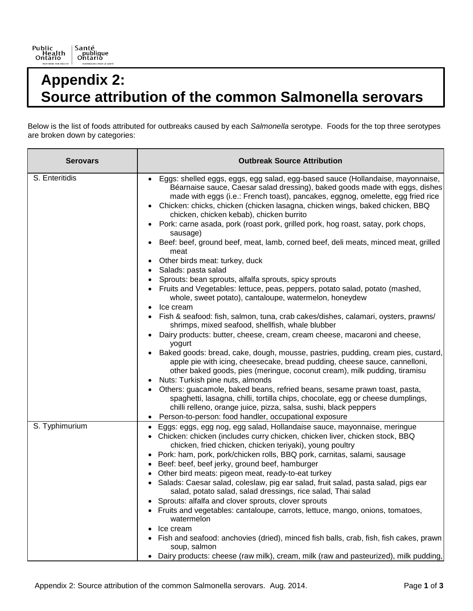## Santé<br>publique<br>Ontario .<br>PARTNERS FOR HEAL PARTENAIRES POUR LA **Appendix 2: Source attribution of the common Salmonella serovars**

Public<br>Health<br>Ontario

Below is the list of foods attributed for outbreaks caused by each *Salmonella* serotype. Foods for the top three serotypes are broken down by categories:

| <b>Serovars</b> | <b>Outbreak Source Attribution</b>                                                                                                                                                                                                                                                                                                                                                                                                                                                                                                                                                                                                                                                                                                                                                                                                                                                                                                                                                                                                                                                                                                                                                                                                                                                                                                                                                                                                                                                                                                                                                                         |
|-----------------|------------------------------------------------------------------------------------------------------------------------------------------------------------------------------------------------------------------------------------------------------------------------------------------------------------------------------------------------------------------------------------------------------------------------------------------------------------------------------------------------------------------------------------------------------------------------------------------------------------------------------------------------------------------------------------------------------------------------------------------------------------------------------------------------------------------------------------------------------------------------------------------------------------------------------------------------------------------------------------------------------------------------------------------------------------------------------------------------------------------------------------------------------------------------------------------------------------------------------------------------------------------------------------------------------------------------------------------------------------------------------------------------------------------------------------------------------------------------------------------------------------------------------------------------------------------------------------------------------------|
| S. Enteritidis  | Eggs: shelled eggs, eggs, egg salad, egg-based sauce (Hollandaise, mayonnaise,<br>Béarnaise sauce, Caesar salad dressing), baked goods made with eggs, dishes<br>made with eggs (i.e.: French toast), pancakes, eggnog, omelette, egg fried rice<br>Chicken: chicks, chicken (chicken lasagna, chicken wings, baked chicken, BBQ<br>chicken, chicken kebab), chicken burrito<br>Pork: carne asada, pork (roast pork, grilled pork, hog roast, satay, pork chops,<br>sausage)<br>Beef: beef, ground beef, meat, lamb, corned beef, deli meats, minced meat, grilled<br>meat<br>Other birds meat: turkey, duck<br>Salads: pasta salad<br>Sprouts: bean sprouts, alfalfa sprouts, spicy sprouts<br>Fruits and Vegetables: lettuce, peas, peppers, potato salad, potato (mashed,<br>whole, sweet potato), cantaloupe, watermelon, honeydew<br>Ice cream<br>Fish & seafood: fish, salmon, tuna, crab cakes/dishes, calamari, oysters, prawns/<br>shrimps, mixed seafood, shellfish, whale blubber<br>Dairy products: butter, cheese, cream, cream cheese, macaroni and cheese,<br>yogurt<br>Baked goods: bread, cake, dough, mousse, pastries, pudding, cream pies, custard,<br>apple pie with icing, cheesecake, bread pudding, cheese sauce, cannelloni,<br>other baked goods, pies (meringue, coconut cream), milk pudding, tiramisu<br>Nuts: Turkish pine nuts, almonds<br>Others: guacamole, baked beans, refried beans, sesame prawn toast, pasta,<br>spaghetti, lasagna, chilli, tortilla chips, chocolate, egg or cheese dumplings,<br>chilli relleno, orange juice, pizza, salsa, sushi, black peppers |
| S. Typhimurium  | • Person-to-person: food handler, occupational exposure<br>Eggs: eggs, egg nog, egg salad, Hollandaise sauce, mayonnaise, meringue<br>Chicken: chicken (includes curry chicken, chicken liver, chicken stock, BBQ<br>chicken, fried chicken, chicken teriyaki), young poultry<br>• Pork: ham, pork, pork/chicken rolls, BBQ pork, carnitas, salami, sausage<br>Beef: beef, beef jerky, ground beef, hamburger<br>Other bird meats: pigeon meat, ready-to-eat turkey<br>Salads: Caesar salad, coleslaw, pig ear salad, fruit salad, pasta salad, pigs ear<br>salad, potato salad, salad dressings, rice salad, Thai salad<br>Sprouts: alfalfa and clover sprouts, clover sprouts<br>Fruits and vegetables: cantaloupe, carrots, lettuce, mango, onions, tomatoes,<br>watermelon<br>Ice cream<br>Fish and seafood: anchovies (dried), minced fish balls, crab, fish, fish cakes, prawn<br>soup, salmon<br>Dairy products: cheese (raw milk), cream, milk (raw and pasteurized), milk pudding,                                                                                                                                                                                                                                                                                                                                                                                                                                                                                                                                                                                                                |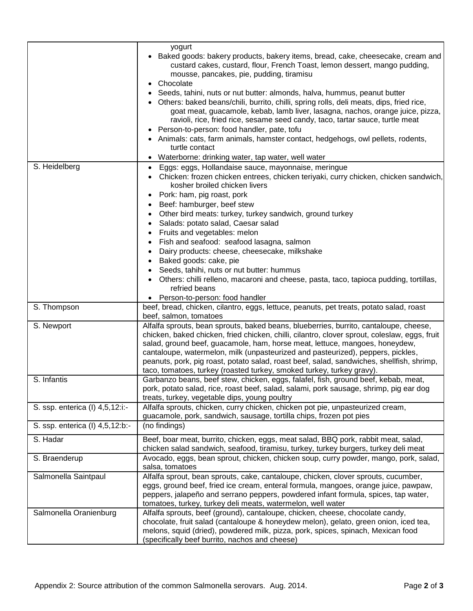|                                 | yogurt<br>Baked goods: bakery products, bakery items, bread, cake, cheesecake, cream and<br>custard cakes, custard, flour, French Toast, lemon dessert, mango pudding,<br>mousse, pancakes, pie, pudding, tiramisu<br>Chocolate<br>Seeds, tahini, nuts or nut butter: almonds, halva, hummus, peanut butter<br>Others: baked beans/chili, burrito, chilli, spring rolls, deli meats, dips, fried rice,<br>goat meat, guacamole, kebab, lamb liver, lasagna, nachos, orange juice, pizza,<br>ravioli, rice, fried rice, sesame seed candy, taco, tartar sauce, turtle meat<br>Person-to-person: food handler, pate, tofu<br>Animals: cats, farm animals, hamster contact, hedgehogs, owl pellets, rodents,<br>turtle contact<br>Waterborne: drinking water, tap water, well water |
|---------------------------------|----------------------------------------------------------------------------------------------------------------------------------------------------------------------------------------------------------------------------------------------------------------------------------------------------------------------------------------------------------------------------------------------------------------------------------------------------------------------------------------------------------------------------------------------------------------------------------------------------------------------------------------------------------------------------------------------------------------------------------------------------------------------------------|
| S. Heidelberg                   | Eggs: eggs, Hollandaise sauce, mayonnaise, meringue<br>Chicken: frozen chicken entrees, chicken teriyaki, curry chicken, chicken sandwich,<br>kosher broiled chicken livers<br>Pork: ham, pig roast, pork<br>Beef: hamburger, beef stew<br>Other bird meats: turkey, turkey sandwich, ground turkey                                                                                                                                                                                                                                                                                                                                                                                                                                                                              |
|                                 | Salads: potato salad, Caesar salad<br>Fruits and vegetables: melon<br>Fish and seafood: seafood lasagna, salmon<br>Dairy products: cheese, cheesecake, milkshake<br>Baked goods: cake, pie<br>Seeds, tahihi, nuts or nut butter: hummus<br>Others: chilli relleno, macaroni and cheese, pasta, taco, tapioca pudding, tortillas,<br>refried beans<br>• Person-to-person: food handler                                                                                                                                                                                                                                                                                                                                                                                            |
| S. Thompson                     | beef, bread, chicken, cilantro, eggs, lettuce, peanuts, pet treats, potato salad, roast<br>beef, salmon, tomatoes                                                                                                                                                                                                                                                                                                                                                                                                                                                                                                                                                                                                                                                                |
| S. Newport                      | Alfalfa sprouts, bean sprouts, baked beans, blueberries, burrito, cantaloupe, cheese,<br>chicken, baked chicken, fried chicken, chilli, cilantro, clover sprout, coleslaw, eggs, fruit<br>salad, ground beef, guacamole, ham, horse meat, lettuce, mangoes, honeydew,<br>cantaloupe, watermelon, milk (unpasteurized and pasteurized), peppers, pickles,<br>peanuts, pork, pig roast, potato salad, roast beef, salad, sandwiches, shellfish, shrimp,<br>taco, tomatoes, turkey (roasted turkey, smoked turkey, turkey gravy).                                                                                                                                                                                                                                                   |
| S. Infantis                     | Garbanzo beans, beef stew, chicken, eggs, falafel, fish, ground beef, kebab, meat,<br>pork, potato salad, rice, roast beef, salad, salami, pork sausage, shrimp, pig ear dog<br>treats, turkey, vegetable dips, young poultry                                                                                                                                                                                                                                                                                                                                                                                                                                                                                                                                                    |
| S. ssp. enterica (I) 4,5,12:i:- | Alfalfa sprouts, chicken, curry chicken, chicken pot pie, unpasteurized cream,<br>guacamole, pork, sandwich, sausage, tortilla chips, frozen pot pies                                                                                                                                                                                                                                                                                                                                                                                                                                                                                                                                                                                                                            |
| S. ssp. enterica (I) 4,5,12:b:- | (no findings)                                                                                                                                                                                                                                                                                                                                                                                                                                                                                                                                                                                                                                                                                                                                                                    |
| S. Hadar                        | Beef, boar meat, burrito, chicken, eggs, meat salad, BBQ pork, rabbit meat, salad,<br>chicken salad sandwich, seafood, tiramisu, turkey, turkey burgers, turkey deli meat                                                                                                                                                                                                                                                                                                                                                                                                                                                                                                                                                                                                        |
| S. Braenderup                   | Avocado, eggs, bean sprout, chicken, chicken soup, curry powder, mango, pork, salad,<br>salsa, tomatoes                                                                                                                                                                                                                                                                                                                                                                                                                                                                                                                                                                                                                                                                          |
| Salmonella Saintpaul            | Alfalfa sprout, bean sprouts, cake, cantaloupe, chicken, clover sprouts, cucumber,<br>eggs, ground beef, fried ice cream, enteral formula, mangoes, orange juice, pawpaw,<br>peppers, jalapeño and serrano peppers, powdered infant formula, spices, tap water,<br>tomatoes, turkey, turkey deli meats, watermelon, well water                                                                                                                                                                                                                                                                                                                                                                                                                                                   |
| Salmonella Oranienburg          | Alfalfa sprouts, beef (ground), cantaloupe, chicken, cheese, chocolate candy,<br>chocolate, fruit salad (cantaloupe & honeydew melon), gelato, green onion, iced tea,<br>melons, squid (dried), powdered milk, pizza, pork, spices, spinach, Mexican food<br>(specifically beef burrito, nachos and cheese)                                                                                                                                                                                                                                                                                                                                                                                                                                                                      |